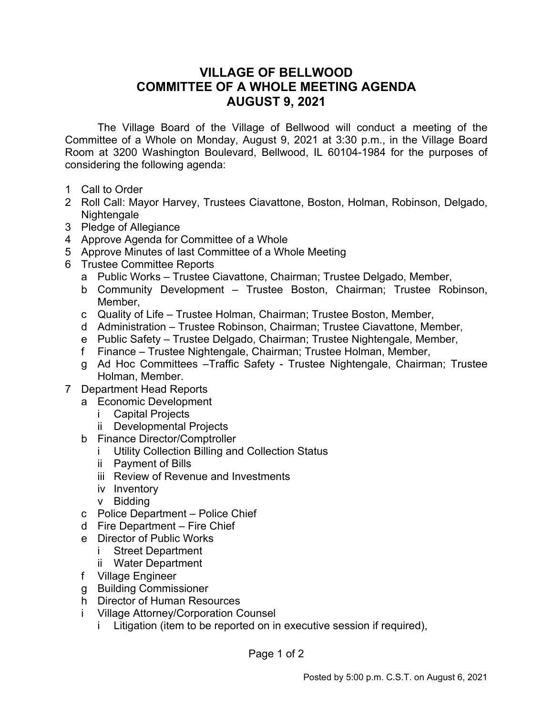## **VILLAGE OF BELLWOOD COMMITTEE OF A WHOLE MEETING AGENDA AUGUST 9, 2021**

The Village Board of the Village of Bellwood will conduct a meeting of the Committee of a Whole on Monday, August 9, 2021 at 3:30 p.m., in the Village Board Room at 3200 Washington Boulevard, Bellwood, IL 60104-1984 for the purposes of considering the following agenda:

- 1 Call to Order
- 2 Roll Call: Mayor Harvey, Trustees Ciavattone, Boston, Holman, Robinson, Delgado, Nightengale
- 3 Pledge of Allegiance
- 4 Approve Agenda for Committee of a Whole
- 5 Approve Minutes of last Committee of a Whole Meeting
- 6 Trustee Committee Reports
	- a Public Works Trustee Ciavattone, Chairman; Trustee Delgado, Member,
	- b Community Development Trustee Boston, Chairman; Trustee Robinson, Member,
	- c Quality of Life Trustee Holman, Chairman; Trustee Boston, Member,
	- d Administration Trustee Robinson, Chairman; Trustee Ciavattone, Member,
	- e Public Safety Trustee Delgado, Chairman; Trustee Nightengale, Member,
	- f Finance Trustee Nightengale, Chairman; Trustee Holman, Member,
	- g Ad Hoc Committees –Traffic Safety Trustee Nightengale, Chairman; Trustee Holman, Member.
- 7 Department Head Reports
	- a Economic Development
		- i Capital Projects
		- ii Developmental Projects
	- b Finance Director/Comptroller
		- i Utility Collection Billing and Collection Status
		- ii Payment of Bills
		- iii Review of Revenue and Investments
		- iv Inventory
		- v Bidding
	- c Police Department Police Chief
	- d Fire Department Fire Chief
	- e Director of Public Works
		- i Street Department
		- ii Water Department
	- f Village Engineer
	- g Building Commissioner
	- h Director of Human Resources
	- i Village Attorney/Corporation Counsel
		- i Litigation (item to be reported on in executive session if required),